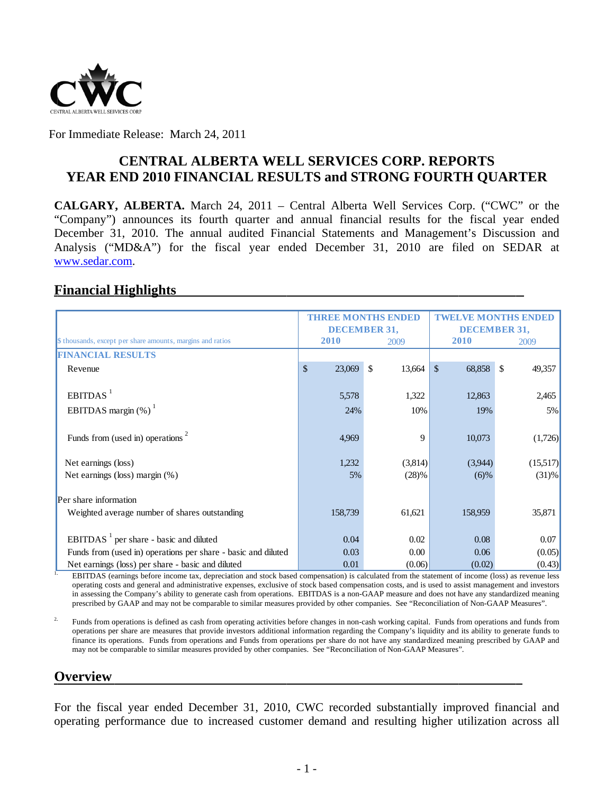

For Immediate Release: March 24, 2011

# **YEAR END 2010 FINANCIAL RESULTS and STRONG FOURTH QUARTER CENTRAL ALBERTA WELL SERVICES CORP. REPORTS**

**CALGARY, ALBERTA.** March 24, 2011 – Central Alberta Well Services Corp. ("CWC" or the "Company") announces its fourth quarter and annual financial results for the fiscal year ended December 31, 2010. The annual audited Financial Statements and Management's Discussion and Analysis ("MD&A") for the fiscal year ended December 31, 2010 are filed on SEDAR at www.sedar.com.

## **Financial Highlights**

|                                                                                                                                                                                                       | <b>THREE MONTHS ENDED</b><br><b>DECEMBER 31,</b> |       |                | TWELVE MONTHS ENDED<br><b>DECEMBER 31,</b> |          |  |
|-------------------------------------------------------------------------------------------------------------------------------------------------------------------------------------------------------|--------------------------------------------------|-------|----------------|--------------------------------------------|----------|--|
| \$ thousands, except per share amounts, margins and ratios                                                                                                                                            | 2010                                             |       | 2009           | 2010                                       | 2009     |  |
| <b>FINANCIAL RESULTS</b>                                                                                                                                                                              |                                                  |       |                |                                            |          |  |
| Revenue                                                                                                                                                                                               | 23,069<br>\$                                     |       | - \$<br>13,664 | $\mathbb{S}$<br>68,858 \$                  | 49,357   |  |
| EBITDAS <sup>1</sup>                                                                                                                                                                                  |                                                  | 5,578 | 1,322          | 12,863                                     | 2,465    |  |
| EBITDAS margin $(\%)$ <sup>1</sup>                                                                                                                                                                    |                                                  | 24%   | 10%            | 19%                                        | 5%       |  |
| Funds from (used in) operations <sup>2</sup>                                                                                                                                                          |                                                  | 4,969 | 9              | 10,073                                     | (1,726)  |  |
| Net earnings (loss)                                                                                                                                                                                   |                                                  | 1,232 | (3,814)        | (3,944)                                    | (15,517) |  |
| Net earnings (loss) margin (%)                                                                                                                                                                        |                                                  | 5%    | (28)%          | $(6)\%$                                    | (31)%    |  |
| Per share information                                                                                                                                                                                 |                                                  |       |                |                                            |          |  |
| Weighted average number of shares outstanding                                                                                                                                                         | 158,739                                          |       | 61,621         | 158,959                                    | 35,871   |  |
| EBITDAS <sup>1</sup> per share - basic and diluted                                                                                                                                                    |                                                  | 0.04  | 0.02           | 0.08                                       | 0.07     |  |
| Funds from (used in) operations per share - basic and diluted                                                                                                                                         |                                                  | 0.03  | 0.00           | 0.06                                       | (0.05)   |  |
| Net earnings (loss) per share - basic and diluted<br>EDITDAS (cornings before income toy depreciation and stook besed componention) is calculated from the statement of income (loss) as revenue loss |                                                  | 0.01  | (0.06)         | (0.02)                                     | (0.43)   |  |

EBITDAS (earnings before income tax, depreciation and stock based compensation) is calculated from the statement of income (loss) as revenue less operating costs and general and administrative expenses, exclusive of stock based compensation costs, and is used to assist management and investors in assessing the Company's ability to generate cash from operations. EBITDAS is a non-GAAP measure and does not have any standardized meaning prescribed by GAAP and may not be comparable to similar measures provided by other companies. See "Reconciliation of Non-GAAP Measures".

2. Funds from operations is defined as cash from operating activities before changes in non-cash working capital. Funds from operations and funds from operations per share are measures that provide investors additional information regarding the Company's liquidity and its ability to generate funds to finance its operations. Funds from operations and Funds from operations per share do not have any standardized meaning prescribed by GAAP and may not be comparable to similar measures provided by other companies. See "Reconciliation of Non-GAAP Measures".

## **O Overview**

For the fiscal year ended December 31, 2010, CWC recorded substantially improved financial and operating performance due to increased customer demand and resulting higher utilization across all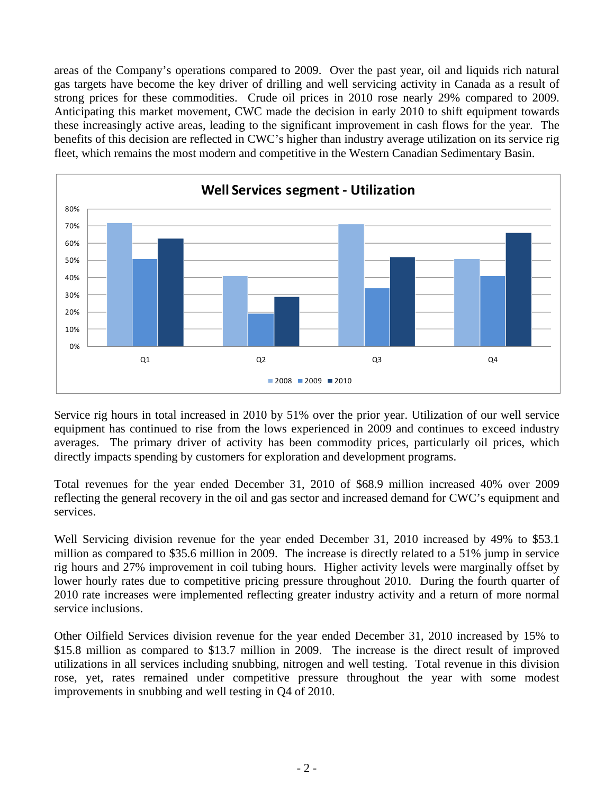areas of the Company's operations compared to 2009. Over the past year, oil and liquids rich natural gas targets have become the key driver of drilling and well servicing activity in Canada as a result of strong prices for these commodities. Crude oil prices in 2010 rose nearly 29% compared to 2009. Anticipating this market movement, CWC made the decision in early 2010 to shift equipment towards these increasingly active areas, leading to the significant improvement in cash flows for the year. The benefits of this decision are reflected in CWC's higher than industry average utilization on its service rig fleet, which remains the most modern and competitive in the Western Canadian Sedimentary Basin.



Service rig hours in total increased in 2010 by 51% over the prior year. Utilization of our well service equipment has continued to rise from the lows experienced in 2009 and continues to exceed industry averages. The primary driver of activity has been commodity prices, particularly oil prices, which directly impacts spending by customers for exploration and development programs.

Total revenues for the year ended December 31, 2010 of \$68.9 million increased 40% over 2009 reflecting the general recovery in the oil and gas sector and increased demand for CWC's equipment and services.

Well Servicing division revenue for the year ended December 31, 2010 increased by 49% to \$53.1 million as compared to \$35.6 million in 2009. The increase is directly related to a 51% jump in service rig hours and 27% improvement in coil tubing hours. Higher activity levels were marginally offset by lower hourly rates due to competitive pricing pressure throughout 2010. During the fourth quarter of 2010 rate increases were implemented reflecting greater industry activity and a return of more normal service inclusions.

Other Oilfield Services division revenue for the year ended December 31, 2010 increased by 15% to \$15.8 million as compared to \$13.7 million in 2009. The increase is the direct result of improved utilizations in all services including snubbing, nitrogen and well testing. Total revenue in this division rose, yet, rates remained under competitive pressure throughout the year with some modest improvements in snubbing and well testing in Q4 of 2010.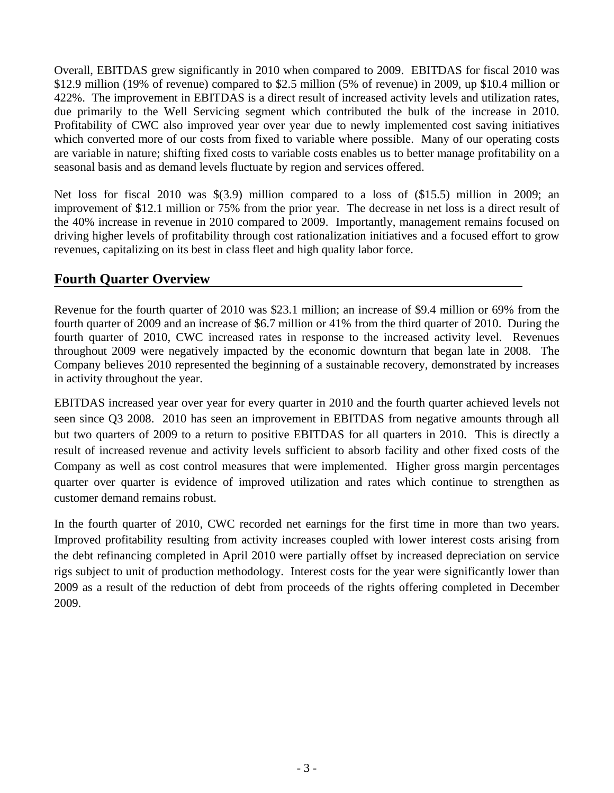Overall, EBITDAS grew significantly in 2010 when compared to 2009. EBITDAS for fiscal 2010 was \$12.9 million (19% of revenue) compared to \$2.5 million (5% of revenue) in 2009, up \$10.4 million or 422%. The improvement in EBITDAS is a direct result of increased activity levels and utilization rates, due primarily to the Well Servicing segment which contributed the bulk of the increase in 2010. Profitability of CWC also improved year over year due to newly implemented cost saving initiatives which converted more of our costs from fixed to variable where possible. Many of our operating costs are variable in nature; shifting fixed costs to variable costs enables us to better manage profitability on a seasonal basis and as demand levels fluctuate by region and services offered.

Net loss for fiscal 2010 was \$(3.9) million compared to a loss of (\$15.5) million in 2009; an improvement of \$12.1 million or 75% from the prior year. The decrease in net loss is a direct result of the 40% increase in revenue in 2010 compared to 2009. Importantly, management remains focused on driving higher levels of profitability through cost rationalization initiatives and a focused effort to grow revenues, capitalizing on its best in class fleet and high quality labor force.

# **Fourth Quarter Overview**

Revenue for the fourth quarter of 2010 was \$23.1 million; an increase of \$9.4 million or 69% from the fourth quarter of 2009 and an increase of \$6.7 million or 41% from the third quarter of 2010. During the fourth quarter of 2010, CWC increased rates in response to the increased activity level. Revenues throughout 2009 were negatively impacted by the economic downturn that began late in 2008. The Company believes 2010 represented the beginning of a sustainable recovery, demonstrated by increases in activity throughout the year.

EBITDAS increased year over year for every quarter in 2010 and the fourth quarter achieved levels not seen since Q3 2008. 2010 has seen an improvement in EBITDAS from negative amounts through all but two quarters of 2009 to a return to positive EBITDAS for all quarters in 2010. This is directly a result of increased revenue and activity levels sufficient to absorb facility and other fixed costs of the Company as well as cost control measures that were implemented. Higher gross margin percentages quarter over quarter is evidence of improved utilization and rates which continue to strengthen as customer demand remains robust.

In the fourth quarter of 2010, CWC recorded net earnings for the first time in more than two years. Improved profitability resulting from activity increases coupled with lower interest costs arising from the debt refinancing completed in April 2010 were partially offset by increased depreciation on service rigs subject to unit of production methodology. Interest costs for the year were significantly lower than 2009 as a result of the reduction of debt from proceeds of the rights offering completed in December 2009.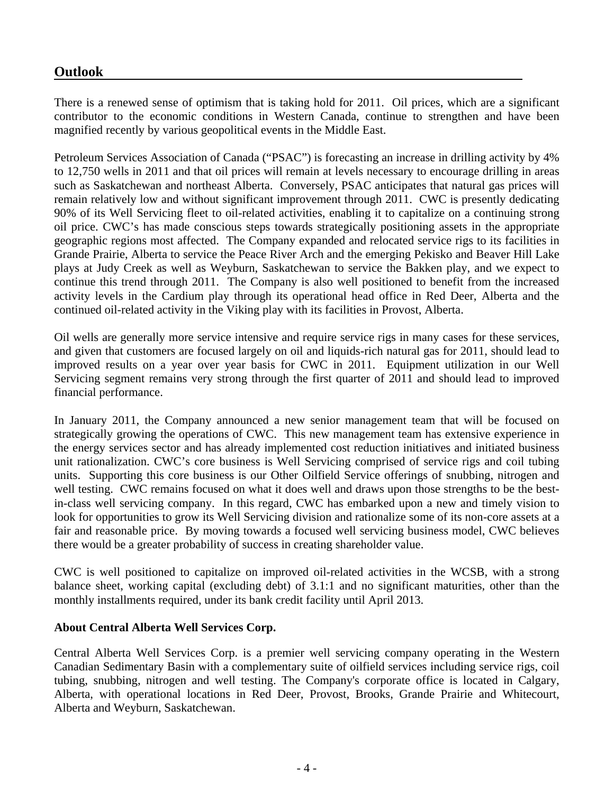# **Outlook**

There is a renewed sense of optimism that is taking hold for 2011. Oil prices, which are a significant contributor to the economic conditions in Western Canada, continue to strengthen and have been magnified recently by various geopolitical events in the Middle East.

Petroleum Services Association of Canada ("PSAC") is forecasting an increase in drilling activity by 4% to 12,750 wells in 2011 and that oil prices will remain at levels necessary to encourage drilling in areas such as Saskatchewan and northeast Alberta. Conversely, PSAC anticipates that natural gas prices will remain relatively low and without significant improvement through 2011. CWC is presently dedicating 90% of its Well Servicing fleet to oil-related activities, enabling it to capitalize on a continuing strong oil price. CWC's has made conscious steps towards strategically positioning assets in the appropriate geographic regions most affected. The Company expanded and relocated service rigs to its facilities in Grande Prairie, Alberta to service the Peace River Arch and the emerging Pekisko and Beaver Hill Lake plays at Judy Creek as well as Weyburn, Saskatchewan to service the Bakken play, and we expect to continue this trend through 2011. The Company is also well positioned to benefit from the increased activity levels in the Cardium play through its operational head office in Red Deer, Alberta and the continued oil-related activity in the Viking play with its facilities in Provost, Alberta.

Oil wells are generally more service intensive and require service rigs in many cases for these services, and given that customers are focused largely on oil and liquids-rich natural gas for 2011, should lead to improved results on a year over year basis for CWC in 2011. Equipment utilization in our Well Servicing segment remains very strong through the first quarter of 2011 and should lead to improved financial performance.

In January 2011, the Company announced a new senior management team that will be focused on strategically growing the operations of CWC. This new management team has extensive experience in the energy services sector and has already implemented cost reduction initiatives and initiated business unit rationalization. CWC's core business is Well Servicing comprised of service rigs and coil tubing units. Supporting this core business is our Other Oilfield Service offerings of snubbing, nitrogen and well testing. CWC remains focused on what it does well and draws upon those strengths to be the bestin-class well servicing company. In this regard, CWC has embarked upon a new and timely vision to look for opportunities to grow its Well Servicing division and rationalize some of its non-core assets at a fair and reasonable price. By moving towards a focused well servicing business model, CWC believes there would be a greater probability of success in creating shareholder value.

CWC is well positioned to capitalize on improved oil-related activities in the WCSB, with a strong balance sheet, working capital (excluding debt) of 3.1:1 and no significant maturities, other than the monthly installments required, under its bank credit facility until April 2013.

## **About Central Alberta Well Services Corp.**

Central Alberta Well Services Corp. is a premier well servicing company operating in the Western Canadian Sedimentary Basin with a complementary suite of oilfield services including service rigs, coil tubing, snubbing, nitrogen and well testing. The Company's corporate office is located in Calgary, Alberta, with operational locations in Red Deer, Provost, Brooks, Grande Prairie and Whitecourt, Alberta and Weyburn, Saskatchewan.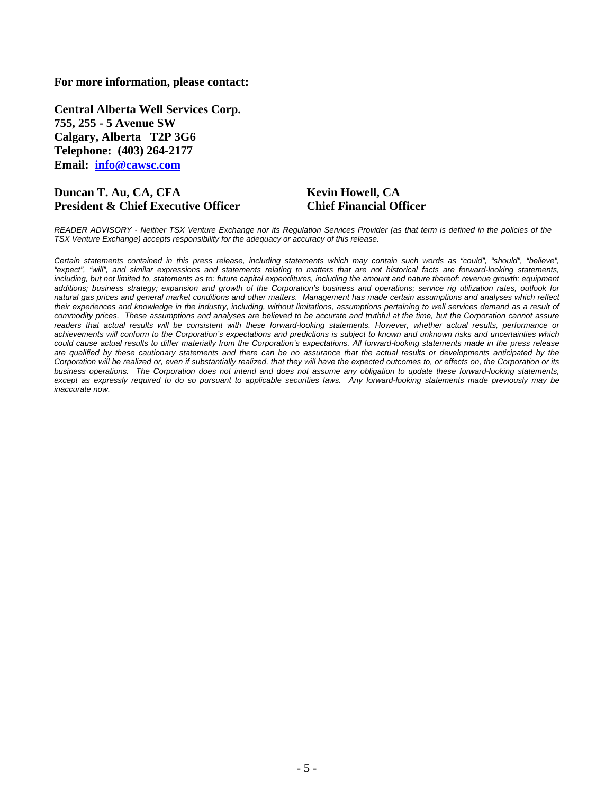#### **For more information, please contact:**

**Central Alberta Well Services Corp. 755, 255 - 5 Avenue SW Calgary, Alberta T2P 3G6 Telephone: (403) 264-2177 Email: info@cawsc.com** 

#### **Duncan T. Au, CA, CFA Kevin Howell, CA President & Chief Executive Officer Chief Financial Officer**

*READER ADVISORY - Neither TSX Venture Exchange nor its Regulation Services Provider (as that term is defined in the policies of the TSX Venture Exchange) accepts responsibility for the adequacy or accuracy of this release.* 

*Certain statements contained in this press release, including statements which may contain such words as "could", "should", "believe", "expect", "will", and similar expressions and statements relating to matters that are not historical facts are forward-looking statements, including, but not limited to, statements as to: future capital expenditures, including the amount and nature thereof; revenue growth; equipment additions; business strategy; expansion and growth of the Corporation's business and operations; service rig utilization rates, outlook for natural gas prices and general market conditions and other matters. Management has made certain assumptions and analyses which reflect their experiences and knowledge in the industry, including, without limitations, assumptions pertaining to well services demand as a result of commodity prices. These assumptions and analyses are believed to be accurate and truthful at the time, but the Corporation cannot assure*  readers that actual results will be consistent with these forward-looking statements. However, whether actual results, performance or *achievements will conform to the Corporation's expectations and predictions is subject to known and unknown risks and uncertainties which could cause actual results to differ materially from the Corporation's expectations. All forward-looking statements made in the press release*  are qualified by these cautionary statements and there can be no assurance that the actual results or developments anticipated by the *Corporation will be realized or, even if substantially realized, that they will have the expected outcomes to, or effects on, the Corporation or its business operations. The Corporation does not intend and does not assume any obligation to update these forward-looking statements, except as expressly required to do so pursuant to applicable securities laws. Any forward-looking statements made previously may be inaccurate now.*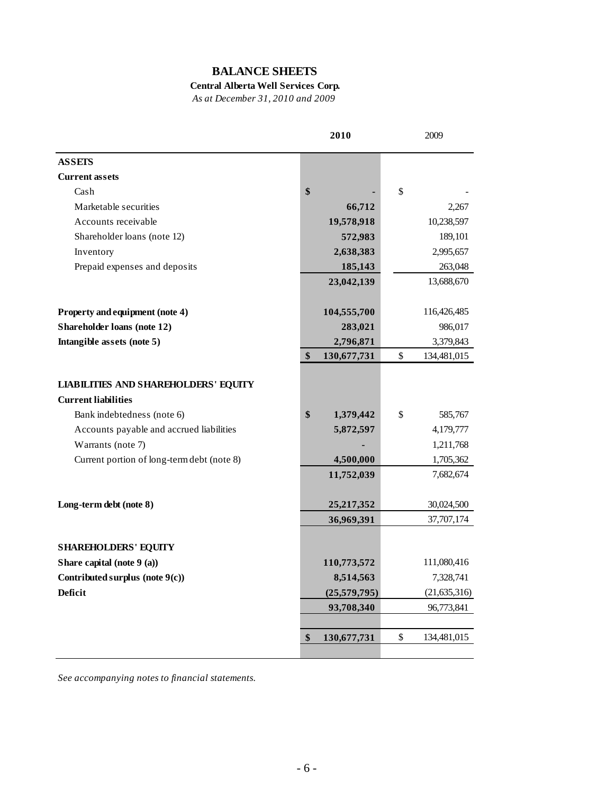## **BALANCE SHEETS**

## **Central Alberta Well Services Corp.**

*As at December 31, 2010 and 2009*

|                                                      | 2010                             |                 | 2009                        |
|------------------------------------------------------|----------------------------------|-----------------|-----------------------------|
| <b>ASSETS</b>                                        |                                  |                 |                             |
| <b>Current assets</b>                                |                                  |                 |                             |
| Cash                                                 | \$                               | $\$$            |                             |
| Marketable securities                                |                                  | 66,712          | 2,267                       |
| Accounts receivable                                  | 19,578,918                       |                 | 10,238,597                  |
| Shareholder loans (note 12)                          |                                  | 572,983         | 189,101                     |
| Inventory                                            |                                  | 2,638,383       | 2,995,657                   |
| Prepaid expenses and deposits                        |                                  | 185,143         | 263,048                     |
|                                                      | 23,042,139                       |                 | 13,688,670                  |
| Property and equipment (note 4)                      | 104,555,700                      |                 | 116,426,485                 |
| Shareholder loans (note 12)                          |                                  | 283,021         | 986,017                     |
| Intangible assets (note 5)                           |                                  | 2,796,871       | 3,379,843                   |
|                                                      | $\boldsymbol{\$}$<br>130,677,731 | $\$$            | 134,481,015                 |
| <b>LIABILITIES AND SHAREHOLDERS' EQUITY</b>          |                                  |                 |                             |
| <b>Current liabilities</b>                           |                                  |                 |                             |
| Bank indebtedness (note 6)                           | \$                               | \$<br>1,379,442 | 585,767                     |
| Accounts payable and accrued liabilities             |                                  | 5,872,597       | 4,179,777                   |
| Warrants (note 7)                                    |                                  |                 | 1,211,768                   |
| Current portion of long-term debt (note 8)           |                                  | 4,500,000       | 1,705,362                   |
|                                                      | 11,752,039                       |                 | 7,682,674                   |
| Long-term debt (note 8)                              | 25, 217, 352                     |                 | 30,024,500                  |
|                                                      | 36,969,391                       |                 | 37,707,174                  |
| <b>SHAREHOLDERS' EQUITY</b>                          |                                  |                 |                             |
|                                                      | 110,773,572                      |                 |                             |
| Share capital (note 9 (a))                           |                                  |                 | 111,080,416                 |
| Contributed surplus (note $9(c)$ )<br><b>Deficit</b> | (25, 579, 795)                   | 8,514,563       | 7,328,741<br>(21, 635, 316) |
|                                                      |                                  |                 |                             |
|                                                      | 93,708,340                       |                 | 96,773,841                  |
|                                                      | \$<br>130,677,731                | \$              | 134,481,015                 |
|                                                      |                                  |                 |                             |

*See accompanying notes to financial statements.*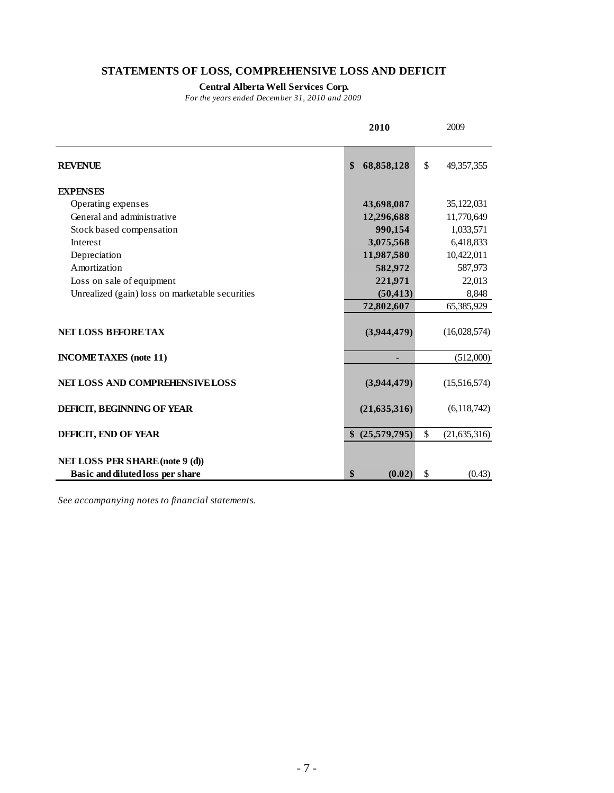## **STATEMENTS OF LOSS, COMPREHENSIVE LOSS AND DEFICIT**

#### **Central Alberta Well Services Corp.**

*For the years ended December 31, 2010 and 2009*

|                                                                     | 2010               | 2009                 |
|---------------------------------------------------------------------|--------------------|----------------------|
| <b>REVENUE</b>                                                      | \$<br>68,858,128   | \$<br>49,357,355     |
| <b>EXPENSES</b>                                                     |                    |                      |
| Operating expenses                                                  | 43,698,087         | 35,122,031           |
| General and administrative                                          | 12,296,688         | 11,770,649           |
| Stock based compensation                                            | 990,154            | 1,033,571            |
| Interest                                                            | 3,075,568          | 6,418,833            |
| Depreciation                                                        | 11,987,580         | 10,422,011           |
| Amortization                                                        | 582,972            | 587,973              |
| Loss on sale of equipment                                           | 221,971            | 22,013               |
| Unrealized (gain) loss on marketable securities                     | (50, 413)          | 8,848                |
|                                                                     | 72,802,607         | 65,385,929           |
| <b>NET LOSS BEFORE TAX</b>                                          | (3,944,479)        | (16,028,574)         |
| <b>INCOMETAXES</b> (note 11)                                        |                    | (512,000)            |
| NET LOSS AND COMPREHENSIVE LOSS                                     | (3,944,479)        | (15,516,574)         |
| DEFICIT, BEGINNING OF YEAR                                          | (21, 635, 316)     | (6,118,742)          |
| <b>DEFICIT, END OF YEAR</b>                                         | (25,579,795)<br>\$ | \$<br>(21, 635, 316) |
| NET LOSS PER SHARE (note 9 (d))<br>Basic and diluted loss per share | \$<br>(0.02)       | \$<br>(0.43)         |

*See accompanying notes to financial statements.*